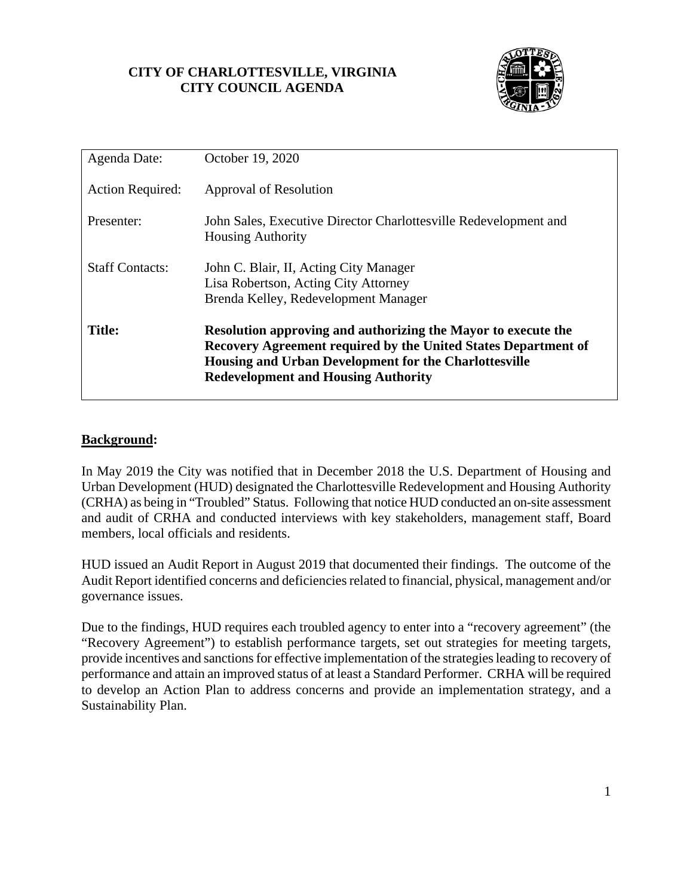## **CITY OF CHARLOTTESVILLE, VIRGINIA CITY COUNCIL AGENDA**



| Agenda Date:            | October 19, 2020                                                                                                                                                                                                                              |
|-------------------------|-----------------------------------------------------------------------------------------------------------------------------------------------------------------------------------------------------------------------------------------------|
| <b>Action Required:</b> | Approval of Resolution                                                                                                                                                                                                                        |
| Presenter:              | John Sales, Executive Director Charlottesville Redevelopment and<br><b>Housing Authority</b>                                                                                                                                                  |
| <b>Staff Contacts:</b>  | John C. Blair, II, Acting City Manager<br>Lisa Robertson, Acting City Attorney<br>Brenda Kelley, Redevelopment Manager                                                                                                                        |
| <b>Title:</b>           | Resolution approving and authorizing the Mayor to execute the<br><b>Recovery Agreement required by the United States Department of</b><br>Housing and Urban Development for the Charlottesville<br><b>Redevelopment and Housing Authority</b> |

## **Background:**

In May 2019 the City was notified that in December 2018 the U.S. Department of Housing and Urban Development (HUD) designated the Charlottesville Redevelopment and Housing Authority (CRHA) as being in "Troubled" Status. Following that notice HUD conducted an on-site assessment and audit of CRHA and conducted interviews with key stakeholders, management staff, Board members, local officials and residents.

HUD issued an Audit Report in August 2019 that documented their findings. The outcome of the Audit Report identified concerns and deficiencies related to financial, physical, management and/or governance issues.

Due to the findings, HUD requires each troubled agency to enter into a "recovery agreement" (the "Recovery Agreement") to establish performance targets, set out strategies for meeting targets, provide incentives and sanctions for effective implementation of the strategies leading to recovery of performance and attain an improved status of at least a Standard Performer. CRHA will be required to develop an Action Plan to address concerns and provide an implementation strategy, and a Sustainability Plan.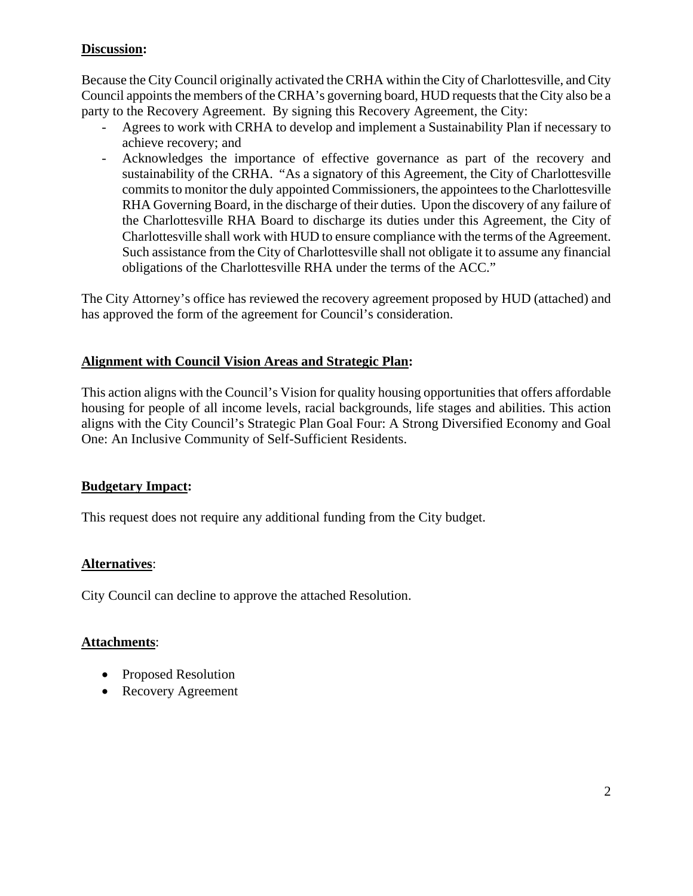# **Discussion:**

Because the City Council originally activated the CRHA within the City of Charlottesville, and City Council appoints the members of the CRHA's governing board, HUD requests that the City also be a party to the Recovery Agreement. By signing this Recovery Agreement, the City:

- Agrees to work with CRHA to develop and implement a Sustainability Plan if necessary to achieve recovery; and
- Acknowledges the importance of effective governance as part of the recovery and sustainability of the CRHA. "As a signatory of this Agreement, the City of Charlottesville commits to monitor the duly appointed Commissioners, the appointees to the Charlottesville RHA Governing Board, in the discharge of their duties. Upon the discovery of any failure of the Charlottesville RHA Board to discharge its duties under this Agreement, the City of Charlottesville shall work with HUD to ensure compliance with the terms of the Agreement. Such assistance from the City of Charlottesville shall not obligate it to assume any financial obligations of the Charlottesville RHA under the terms of the ACC."

The City Attorney's office has reviewed the recovery agreement proposed by HUD (attached) and has approved the form of the agreement for Council's consideration.

# **Alignment with Council Vision Areas and Strategic Plan:**

This action aligns with the Council's Vision for quality housing opportunities that offers affordable housing for people of all income levels, racial backgrounds, life stages and abilities. This action aligns with the City Council's Strategic Plan Goal Four: A Strong Diversified Economy and Goal One: An Inclusive Community of Self-Sufficient Residents.

## **Budgetary Impact:**

This request does not require any additional funding from the City budget.

## **Alternatives**:

City Council can decline to approve the attached Resolution.

## **Attachments**:

- Proposed Resolution
- Recovery Agreement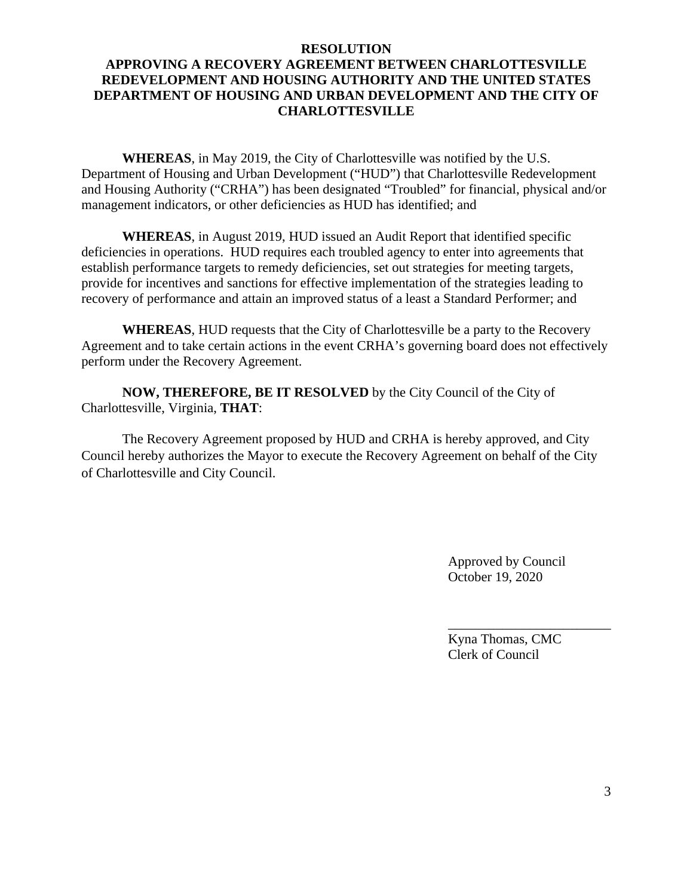#### **RESOLUTION**

# **APPROVING A RECOVERY AGREEMENT BETWEEN CHARLOTTESVILLE REDEVELOPMENT AND HOUSING AUTHORITY AND THE UNITED STATES DEPARTMENT OF HOUSING AND URBAN DEVELOPMENT AND THE CITY OF CHARLOTTESVILLE**

**WHEREAS**, in May 2019, the City of Charlottesville was notified by the U.S. Department of Housing and Urban Development ("HUD") that Charlottesville Redevelopment and Housing Authority ("CRHA") has been designated "Troubled" for financial, physical and/or management indicators, or other deficiencies as HUD has identified; and

**WHEREAS**, in August 2019, HUD issued an Audit Report that identified specific deficiencies in operations. HUD requires each troubled agency to enter into agreements that establish performance targets to remedy deficiencies, set out strategies for meeting targets, provide for incentives and sanctions for effective implementation of the strategies leading to recovery of performance and attain an improved status of a least a Standard Performer; and

**WHEREAS**, HUD requests that the City of Charlottesville be a party to the Recovery Agreement and to take certain actions in the event CRHA's governing board does not effectively perform under the Recovery Agreement.

**NOW, THEREFORE, BE IT RESOLVED** by the City Council of the City of Charlottesville, Virginia, **THAT**:

The Recovery Agreement proposed by HUD and CRHA is hereby approved, and City Council hereby authorizes the Mayor to execute the Recovery Agreement on behalf of the City of Charlottesville and City Council.

 $\overline{\phantom{a}}$  , and the contract of the contract of the contract of the contract of the contract of the contract of the contract of the contract of the contract of the contract of the contract of the contract of the contrac

 Approved by Council October 19, 2020

 Kyna Thomas, CMC Clerk of Council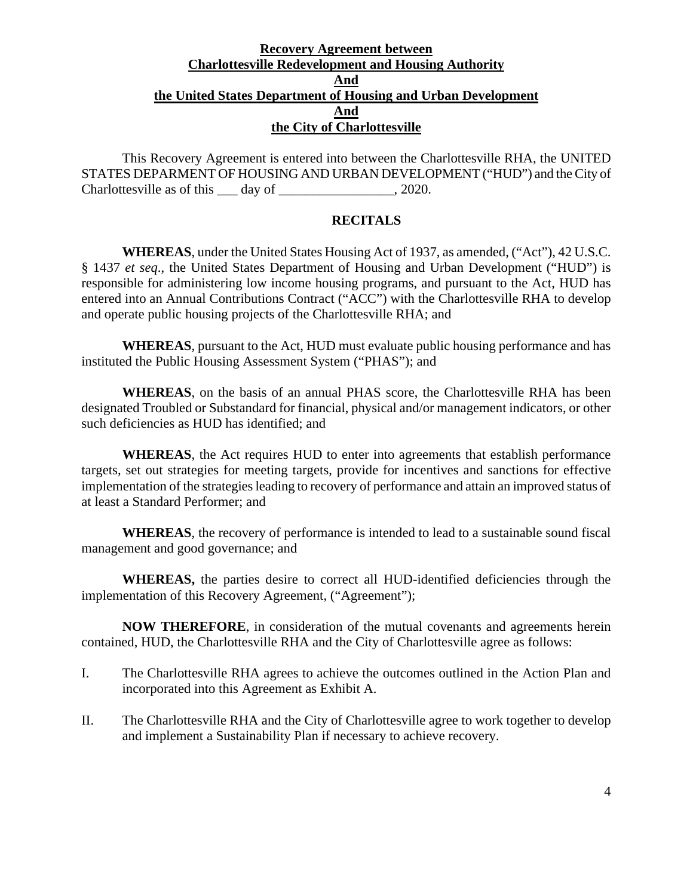## **Recovery Agreement between Charlottesville Redevelopment and Housing Authority And the United States Department of Housing and Urban Development And the City of Charlottesville**

This Recovery Agreement is entered into between the Charlottesville RHA, the UNITED STATES DEPARMENT OF HOUSING AND URBAN DEVELOPMENT ("HUD") and the City of Charlottesville as of this day of \_\_\_\_\_\_\_\_\_\_\_\_\_\_\_, 2020.

### **RECITALS**

**WHEREAS**, under the United States Housing Act of 1937, as amended, ("Act"), 42 U.S.C. § 1437 *et seq*., the United States Department of Housing and Urban Development ("HUD") is responsible for administering low income housing programs, and pursuant to the Act, HUD has entered into an Annual Contributions Contract ("ACC") with the Charlottesville RHA to develop and operate public housing projects of the Charlottesville RHA; and

**WHEREAS**, pursuant to the Act, HUD must evaluate public housing performance and has instituted the Public Housing Assessment System ("PHAS"); and

**WHEREAS**, on the basis of an annual PHAS score, the Charlottesville RHA has been designated Troubled or Substandard for financial, physical and/or management indicators, or other such deficiencies as HUD has identified; and

**WHEREAS**, the Act requires HUD to enter into agreements that establish performance targets, set out strategies for meeting targets, provide for incentives and sanctions for effective implementation of the strategies leading to recovery of performance and attain an improved status of at least a Standard Performer; and

**WHEREAS**, the recovery of performance is intended to lead to a sustainable sound fiscal management and good governance; and

**WHEREAS,** the parties desire to correct all HUD-identified deficiencies through the implementation of this Recovery Agreement, ("Agreement");

**NOW THEREFORE**, in consideration of the mutual covenants and agreements herein contained, HUD, the Charlottesville RHA and the City of Charlottesville agree as follows:

- I. The Charlottesville RHA agrees to achieve the outcomes outlined in the Action Plan and incorporated into this Agreement as Exhibit A.
- II. The Charlottesville RHA and the City of Charlottesville agree to work together to develop and implement a Sustainability Plan if necessary to achieve recovery.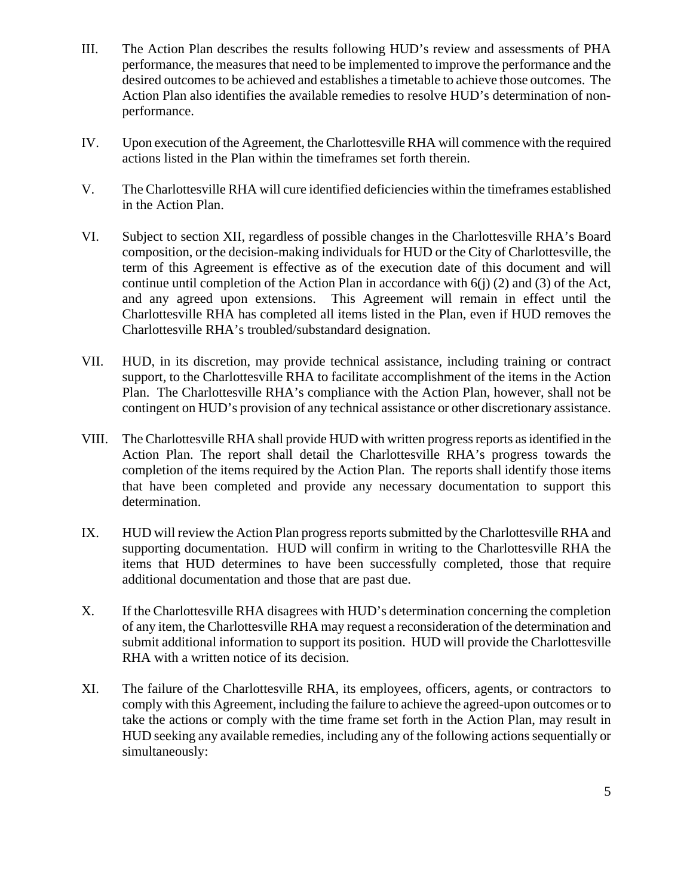- III. The Action Plan describes the results following HUD's review and assessments of PHA performance, the measures that need to be implemented to improve the performance and the desired outcomes to be achieved and establishes a timetable to achieve those outcomes. The Action Plan also identifies the available remedies to resolve HUD's determination of nonperformance.
- IV. Upon execution of the Agreement, the Charlottesville RHA will commence with the required actions listed in the Plan within the timeframes set forth therein.
- V. The Charlottesville RHA will cure identified deficiencies within the timeframes established in the Action Plan.
- VI. Subject to section XII, regardless of possible changes in the Charlottesville RHA's Board composition, or the decision-making individuals for HUD or the City of Charlottesville, the term of this Agreement is effective as of the execution date of this document and will continue until completion of the Action Plan in accordance with 6(j) (2) and (3) of the Act, and any agreed upon extensions. This Agreement will remain in effect until the Charlottesville RHA has completed all items listed in the Plan, even if HUD removes the Charlottesville RHA's troubled/substandard designation.
- VII. HUD, in its discretion, may provide technical assistance, including training or contract support, to the Charlottesville RHA to facilitate accomplishment of the items in the Action Plan. The Charlottesville RHA's compliance with the Action Plan, however, shall not be contingent on HUD's provision of any technical assistance or other discretionary assistance.
- VIII. The Charlottesville RHA shall provide HUD with written progress reports as identified in the Action Plan. The report shall detail the Charlottesville RHA's progress towards the completion of the items required by the Action Plan. The reports shall identify those items that have been completed and provide any necessary documentation to support this determination.
- IX. HUD will review the Action Plan progress reports submitted by the Charlottesville RHA and supporting documentation. HUD will confirm in writing to the Charlottesville RHA the items that HUD determines to have been successfully completed, those that require additional documentation and those that are past due.
- X. If the Charlottesville RHA disagrees with HUD's determination concerning the completion of any item, the Charlottesville RHA may request a reconsideration of the determination and submit additional information to support its position. HUD will provide the Charlottesville RHA with a written notice of its decision.
- XI. The failure of the Charlottesville RHA, its employees, officers, agents, or contractors to comply with this Agreement, including the failure to achieve the agreed-upon outcomes or to take the actions or comply with the time frame set forth in the Action Plan, may result in HUD seeking any available remedies, including any of the following actions sequentially or simultaneously: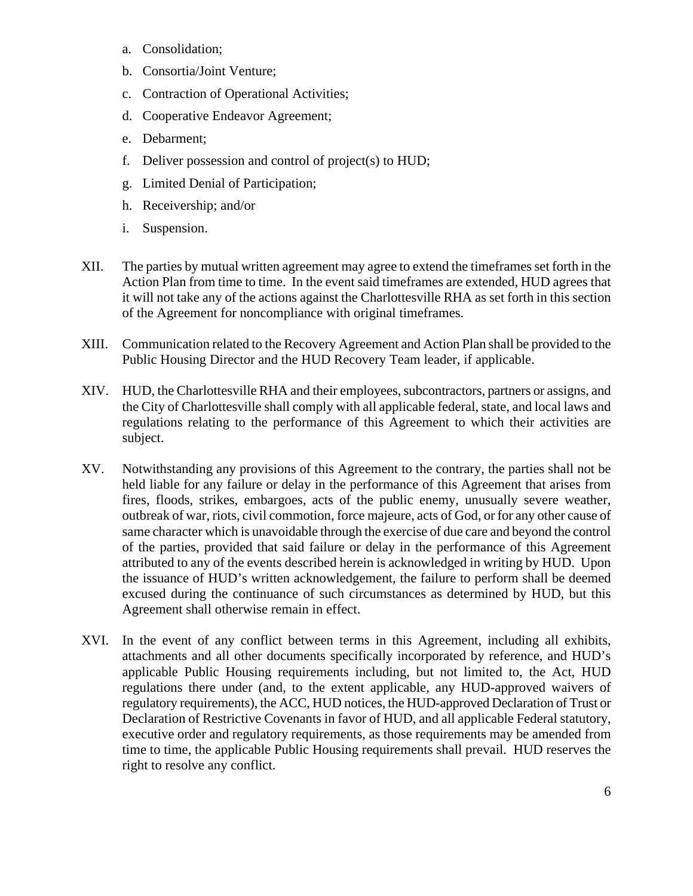- a. Consolidation;
- b. Consortia/Joint Venture;
- c. Contraction of Operational Activities;
- d. Cooperative Endeavor Agreement;
- e. Debarment;
- f. Deliver possession and control of project(s) to HUD;
- g. Limited Denial of Participation;
- h. Receivership; and/or
- i. Suspension.
- XII. The parties by mutual written agreement may agree to extend the timeframes set forth in the Action Plan from time to time. In the event said timeframes are extended, HUD agrees that it will not take any of the actions against the Charlottesville RHA as set forth in this section of the Agreement for noncompliance with original timeframes.
- XIII. Communication related to the Recovery Agreement and Action Plan shall be provided to the Public Housing Director and the HUD Recovery Team leader, if applicable.
- XIV. HUD, the Charlottesville RHA and their employees, subcontractors, partners or assigns, and the City of Charlottesville shall comply with all applicable federal, state, and local laws and regulations relating to the performance of this Agreement to which their activities are subject.
- XV. Notwithstanding any provisions of this Agreement to the contrary, the parties shall not be held liable for any failure or delay in the performance of this Agreement that arises from fires, floods, strikes, embargoes, acts of the public enemy, unusually severe weather, outbreak of war, riots, civil commotion, force majeure, acts of God, or for any other cause of same character which is unavoidable through the exercise of due care and beyond the control of the parties, provided that said failure or delay in the performance of this Agreement attributed to any of the events described herein is acknowledged in writing by HUD. Upon the issuance of HUD's written acknowledgement, the failure to perform shall be deemed excused during the continuance of such circumstances as determined by HUD, but this Agreement shall otherwise remain in effect.
- XVI. In the event of any conflict between terms in this Agreement, including all exhibits, attachments and all other documents specifically incorporated by reference, and HUD's applicable Public Housing requirements including, but not limited to, the Act, HUD regulations there under (and, to the extent applicable, any HUD-approved waivers of regulatory requirements), the ACC, HUD notices, the HUD-approved Declaration of Trust or Declaration of Restrictive Covenants in favor of HUD, and all applicable Federal statutory, executive order and regulatory requirements, as those requirements may be amended from time to time, the applicable Public Housing requirements shall prevail. HUD reserves the right to resolve any conflict.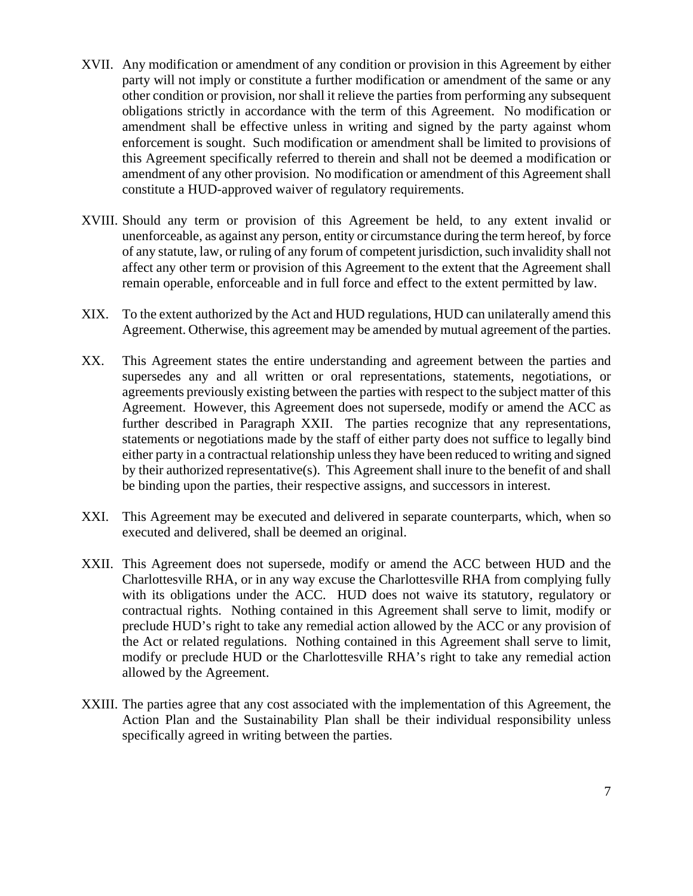- XVII. Any modification or amendment of any condition or provision in this Agreement by either party will not imply or constitute a further modification or amendment of the same or any other condition or provision, nor shall it relieve the parties from performing any subsequent obligations strictly in accordance with the term of this Agreement. No modification or amendment shall be effective unless in writing and signed by the party against whom enforcement is sought. Such modification or amendment shall be limited to provisions of this Agreement specifically referred to therein and shall not be deemed a modification or amendment of any other provision. No modification or amendment of this Agreement shall constitute a HUD-approved waiver of regulatory requirements.
- XVIII. Should any term or provision of this Agreement be held, to any extent invalid or unenforceable, as against any person, entity or circumstance during the term hereof, by force of any statute, law, or ruling of any forum of competent jurisdiction, such invalidity shall not affect any other term or provision of this Agreement to the extent that the Agreement shall remain operable, enforceable and in full force and effect to the extent permitted by law.
- XIX. To the extent authorized by the Act and HUD regulations, HUD can unilaterally amend this Agreement. Otherwise, this agreement may be amended by mutual agreement of the parties.
- XX. This Agreement states the entire understanding and agreement between the parties and supersedes any and all written or oral representations, statements, negotiations, or agreements previously existing between the parties with respect to the subject matter of this Agreement. However, this Agreement does not supersede, modify or amend the ACC as further described in Paragraph XXII. The parties recognize that any representations, statements or negotiations made by the staff of either party does not suffice to legally bind either party in a contractual relationship unless they have been reduced to writing and signed by their authorized representative(s). This Agreement shall inure to the benefit of and shall be binding upon the parties, their respective assigns, and successors in interest.
- XXI. This Agreement may be executed and delivered in separate counterparts, which, when so executed and delivered, shall be deemed an original.
- XXII. This Agreement does not supersede, modify or amend the ACC between HUD and the Charlottesville RHA, or in any way excuse the Charlottesville RHA from complying fully with its obligations under the ACC. HUD does not waive its statutory, regulatory or contractual rights. Nothing contained in this Agreement shall serve to limit, modify or preclude HUD's right to take any remedial action allowed by the ACC or any provision of the Act or related regulations. Nothing contained in this Agreement shall serve to limit, modify or preclude HUD or the Charlottesville RHA's right to take any remedial action allowed by the Agreement.
- XXIII. The parties agree that any cost associated with the implementation of this Agreement, the Action Plan and the Sustainability Plan shall be their individual responsibility unless specifically agreed in writing between the parties.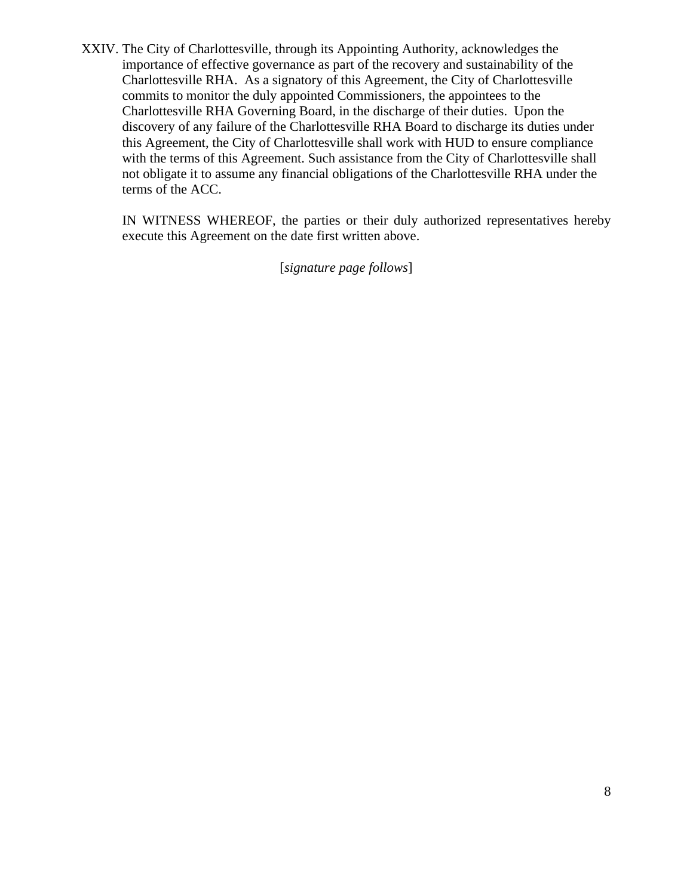XXIV. The City of Charlottesville, through its Appointing Authority, acknowledges the importance of effective governance as part of the recovery and sustainability of the Charlottesville RHA. As a signatory of this Agreement, the City of Charlottesville commits to monitor the duly appointed Commissioners, the appointees to the Charlottesville RHA Governing Board, in the discharge of their duties. Upon the discovery of any failure of the Charlottesville RHA Board to discharge its duties under this Agreement, the City of Charlottesville shall work with HUD to ensure compliance with the terms of this Agreement. Such assistance from the City of Charlottesville shall not obligate it to assume any financial obligations of the Charlottesville RHA under the terms of the ACC.

IN WITNESS WHEREOF, the parties or their duly authorized representatives hereby execute this Agreement on the date first written above.

[*signature page follows*]